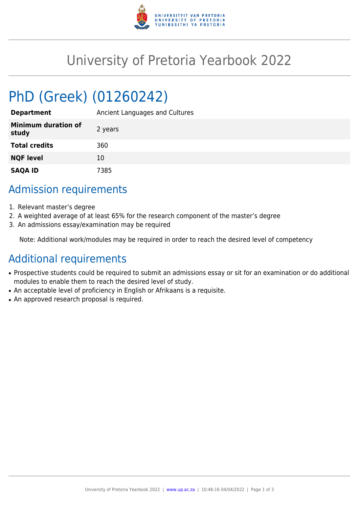

## University of Pretoria Yearbook 2022

# PhD (Greek) (01260242)

| <b>Department</b>                   | Ancient Languages and Cultures |
|-------------------------------------|--------------------------------|
| <b>Minimum duration of</b><br>study | 2 years                        |
| <b>Total credits</b>                | 360                            |
| <b>NQF level</b>                    | 10                             |
| <b>SAQA ID</b>                      | 7385                           |

#### Admission requirements

- 1. Relevant master's degree
- 2. A weighted average of at least 65% for the research component of the master's degree
- 3. An admissions essay/examination may be required

Note: Additional work/modules may be required in order to reach the desired level of competency

## Additional requirements

- Prospective students could be required to submit an admissions essay or sit for an examination or do additional modules to enable them to reach the desired level of study.
- An acceptable level of proficiency in English or Afrikaans is a requisite.
- An approved research proposal is required.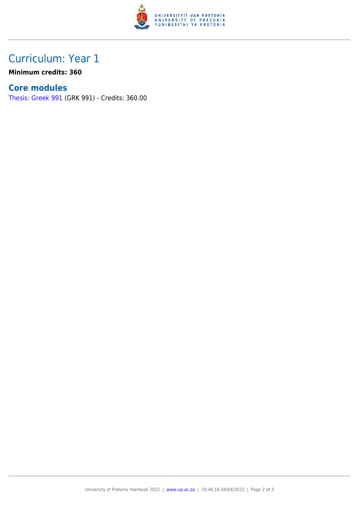

### Curriculum: Year 1

**Minimum credits: 360**

#### **Core modules**

[Thesis: Greek 991](https://www.up.ac.za/yearbooks/2022/modules/view/GRK 991) (GRK 991) - Credits: 360.00